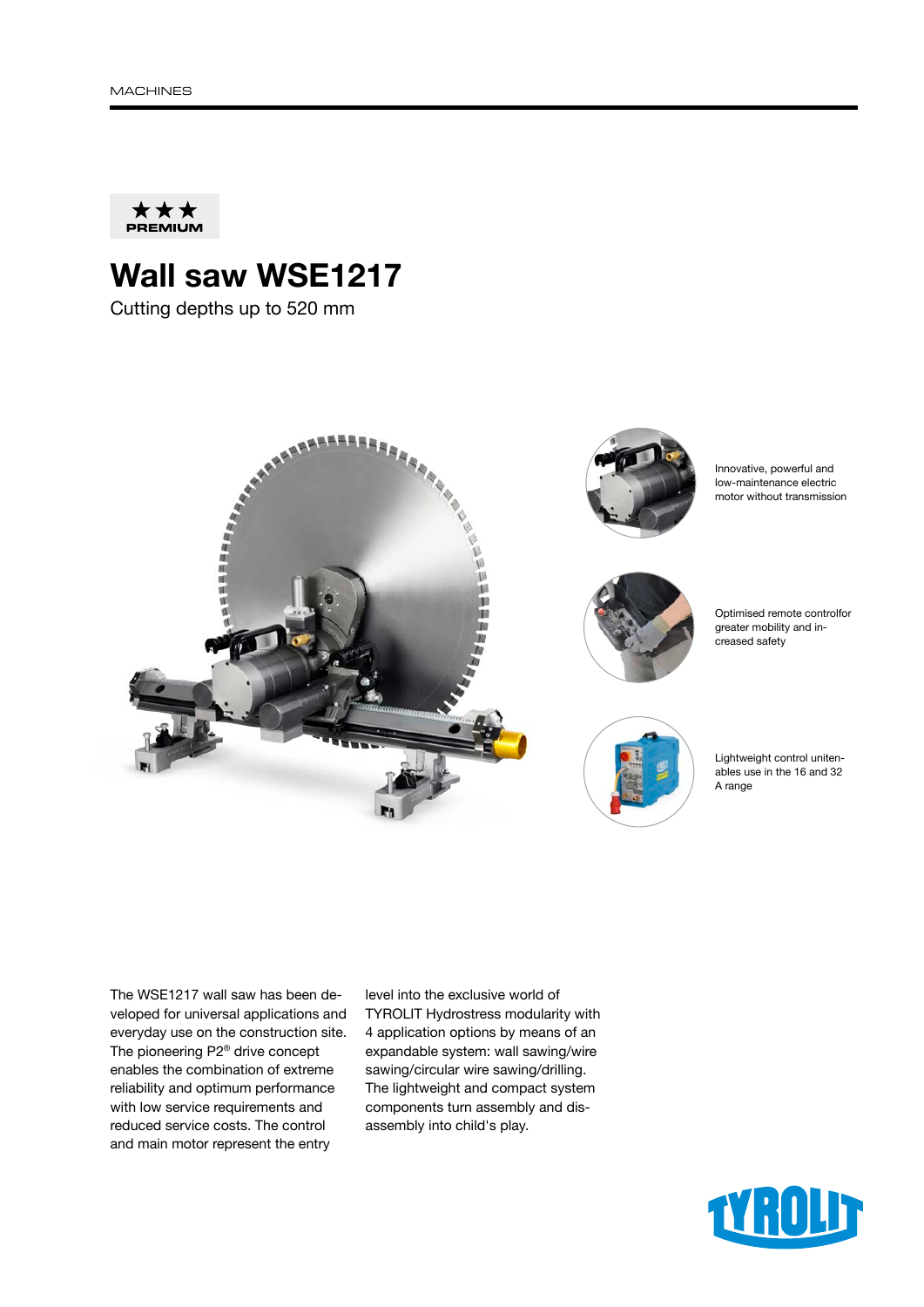

## Wall saw WSE1217

Cutting depths up to 520 mm



The WSE1217 wall saw has been developed for universal applications and everyday use on the construction site. The pioneering P2® drive concept enables the combination of extreme reliability and optimum performance with low service requirements and reduced service costs. The control and main motor represent the entry

level into the exclusive world of TYROLIT Hydrostress modularity with 4 application options by means of an expandable system: wall sawing/wire sawing/circular wire sawing/drilling. The lightweight and compact system components turn assembly and disassembly into child's play.